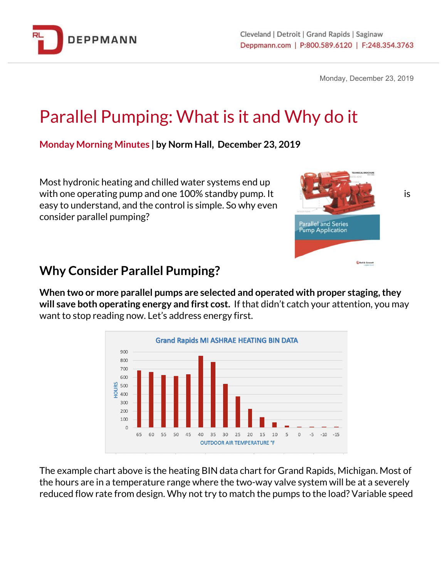

Monday, December 23, 2019

# Parallel Pumping: What is it and Why do it

**Monday Morning Minutes | by Norm Hall, December 23, 2019**

Most hydronic heating and chilled water systems end up with one operating pump and one 100% standby pump. It is interest in the state of the state is easy to understand, and the control is simple. So why even consider parallel pumping?



### **Why Consider Parallel Pumping?**

**When two or more parallel pumps are selected and operated with proper staging,they will save both operating energy and first cost.** If that didn't catch your attention, you may want to stop reading now. Let's address energy first.



The example chart above is the heating BIN data chart for Grand Rapids, Michigan. Most of the hours are in a temperature range where the two-way valve system will be at a severely reduced flow rate from design. Why not try to match the pumps to the load? Variable speed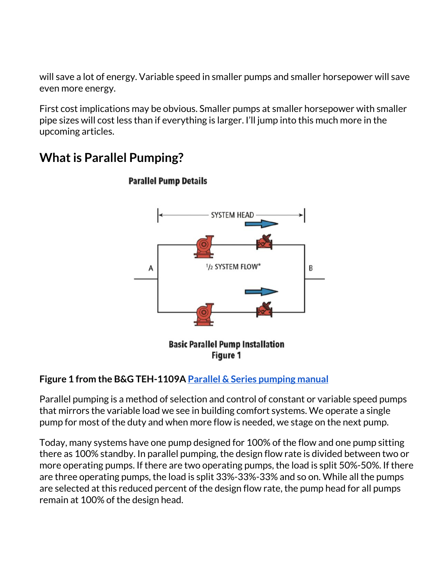will save a lot of energy. Variable speed in smaller pumps and smaller horsepower will save even more energy.

First cost implications may be obvious. Smaller pumps at smaller horsepower with smaller pipe sizes will cost less than if everything is larger. I'll jump into this much more in the upcoming articles.

# **SYSTEM HEAI** 1/2 SYSTEM FLOW' B A **Basic Parallel Pump Installation** Figure 1

## **What is Parallel Pumping?**

#### **Figure 1 from the B&G TEH-1109[A](http://bit.ly/2qo3LGG) Parallel & Series [pumping](http://bit.ly/2qo3LGG) manual**

Parallel pumping is a method of selection and control of constant or variable speed pumps that mirrors the variable load we see in building comfort systems. We operate a single pump for most of the duty and when more flow is needed, we stage on the next pump.

Today, many systems have one pump designed for 100% of the flow and one pump sitting there as 100% standby. In parallel pumping, the design flow rate is divided between two or more operating pumps. If there are two operating pumps, the load is split 50%-50%. If there are three operating pumps, the load is split 33%-33%-33% and so on. While all the pumps are selected at this reduced percent of the design flow rate, the pump head for all pumps remain at 100% of the design head.

#### **Parallel Pump Details**